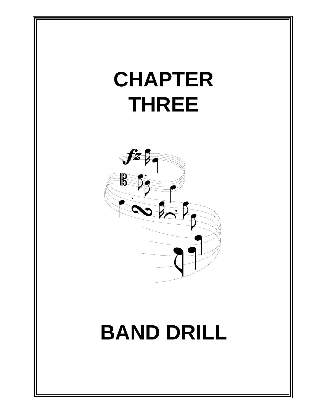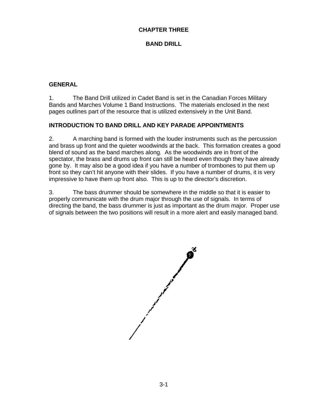#### **CHAPTER THREE**

## **BAND DRILL**

### **GENERAL**

1. The Band Drill utilized in Cadet Band is set in the Canadian Forces Military Bands and Marches Volume 1 Band Instructions. The materials enclosed in the next pages outlines part of the resource that is utilized extensively in the Unit Band.

#### **INTRODUCTION TO BAND DRILL AND KEY PARADE APPOINTMENTS**

2. A marching band is formed with the louder instruments such as the percussion and brass up front and the quieter woodwinds at the back. This formation creates a good blend of sound as the band marches along. As the woodwinds are in front of the spectator, the brass and drums up front can still be heard even though they have already gone by. It may also be a good idea if you have a number of trombones to put them up front so they can't hit anyone with their slides. If you have a number of drums, it is very impressive to have them up front also. This is up to the director's discretion.

3. The bass drummer should be somewhere in the middle so that it is easier to properly communicate with the drum major through the use of signals. In terms of directing the band, the bass drummer is just as important as the drum major. Proper use of signals between the two positions will result in a more alert and easily managed band.

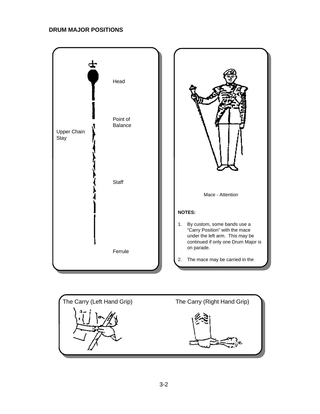## **DRUM MAJOR POSITIONS**



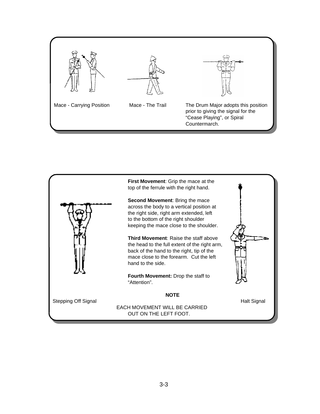

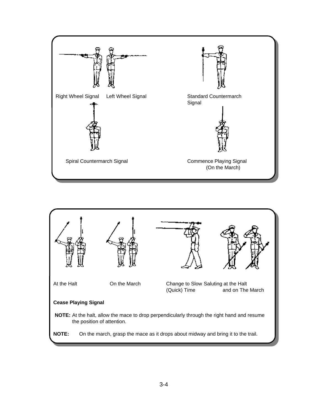

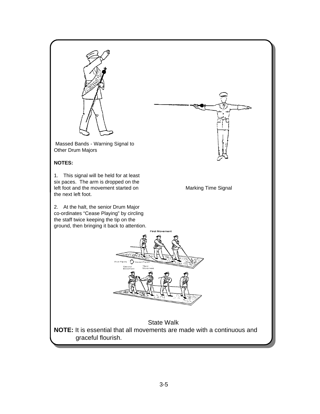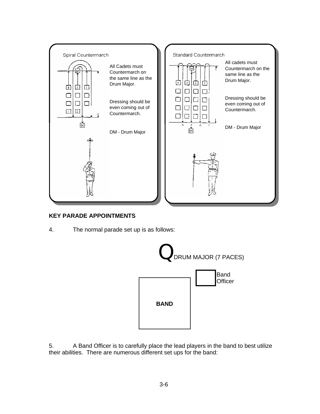

## **KEY PARADE APPOINTMENTS**

4. The normal parade set up is as follows:



5. A Band Officer is to carefully place the lead players in the band to best utilize their abilities. There are numerous different set ups for the band: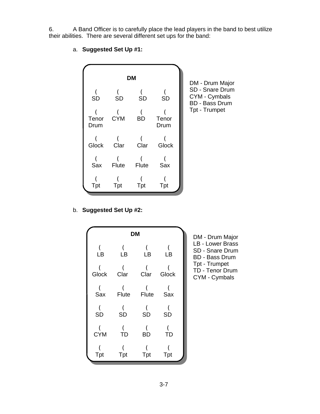6. A Band Officer is to carefully place the lead players in the band to best utilize their abilities. There are several different set ups for the band:



a. **Suggested Set Up #1:**

b. **Suggested Set Up #2:**

|         |                        | <b>DM</b>                            |       | $DM - DI$                        |
|---------|------------------------|--------------------------------------|-------|----------------------------------|
| (<br>LB | C<br>LB                | C<br>LB                              | LB    | $LB - Lo$<br>SD - Sr<br>BD - Ba  |
| Glock   | $\overline{C}$<br>Clar | C<br>Clar                            | Glock | Tpt - Tr<br>TD - Te<br>$CYM - 0$ |
| Sax     | C<br>Flute             | $\mathcal{C}_{\mathcal{C}}$<br>Flute | Sax   |                                  |
| SD      | SD                     | SD                                   | SD    |                                  |
| CYM     | <b>TD</b>              | <b>BD</b>                            | TD    |                                  |
| Tpt     | Tpt                    | Tpt                                  | Tpt   |                                  |

rum Major wer Brass nare Drum ass Drum rumpet nor Drum Cymbals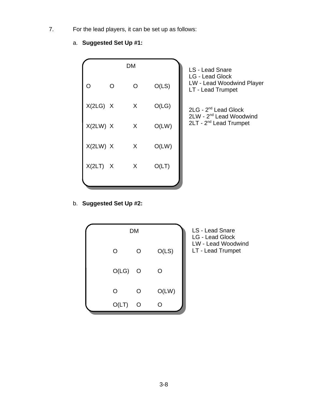7. For the lead players, it can be set up as follows:

# a. **Suggested Set Up #1:**

|            |          | <b>DM</b> |       | <b>LS - Lead Snare</b>                                            |
|------------|----------|-----------|-------|-------------------------------------------------------------------|
| ∩          | $\Omega$ | O         | O(LS) | LG - Lead Glock<br>LW - Lead Woodwind Player<br>LT - Lead Trumpet |
| X(2LG) X   |          | X         | O(LG) | $2LG - 2nd$ Lead Glock<br>2LW - 2 <sup>nd</sup> Lead Woodwind     |
| X(2LW) X   |          | X         | O(LW) | 2LT - 2 <sup>nd</sup> Lead Trumpet                                |
| X(2LW) X   |          | X         | O(LW) |                                                                   |
| $X(2LT)$ X |          | X         | O(LT) |                                                                   |
|            |          |           |       |                                                                   |

# b. **Suggested Set Up #2:**



LS - Lead Snare LG - Lead Glock LW - Lead Woodwind LT - Lead Trumpet

3-8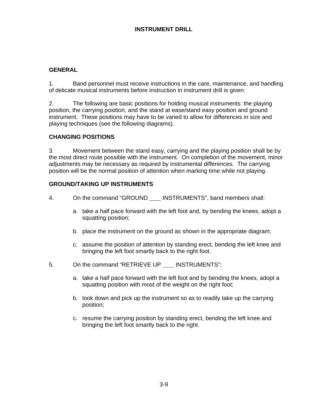## **INSTRUMENT DRILL**

### **GENERAL**

1. Band personnel must receive instructions in the care, maintenance, and handling of delicate musical instruments before instruction in instrument drill is given.

2. The following are basic positions for holding musical instruments: the playing position, the carrying position, and the stand at ease/stand easy position and ground instrument. These positions may have to be varied to allow for differences in size and playing techniques (see the following diagrams).

#### **CHANGING POSITIONS**

3. Movement between the stand easy, carrying and the playing position shall be by the most direct route possible with the instrument. On completion of the movement, minor adjustments may be necessary as required by instrumental differences. The carrying position will be the normal position of attention when marking time while not playing.

#### **GROUND/TAKING UP INSTRUMENTS**

- 4. On the command "GROUND INSTRUMENTS", band members shall:
	- a. take a half pace forward with the left foot and, by bending the knees, adopt a squatting position;
	- b. place the instrument on the ground as shown in the appropriate diagram;
	- c. assume the position of attention by standing erect, bending the left knee and bringing the left foot smartly back to the right foot.
- 5. On the command "RETRIEVE UP \_\_\_ INSTRUMENTS":
	- a. take a half pace forward with the left foot and by bending the knees, adopt a squatting position with most of the weight on the right foot;
	- b. look down and pick up the instrument so as to readily take up the carrying position;
	- c. resume the carrying position by standing erect, bending the left knee and bringing the left foot smartly back to the right.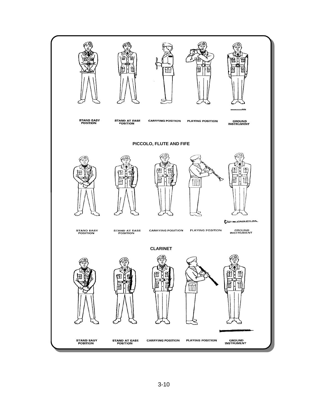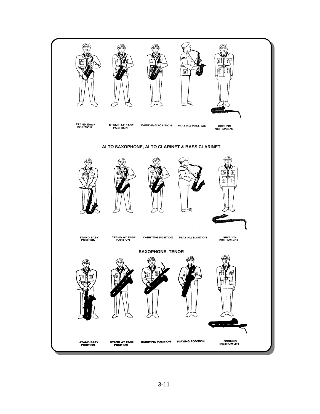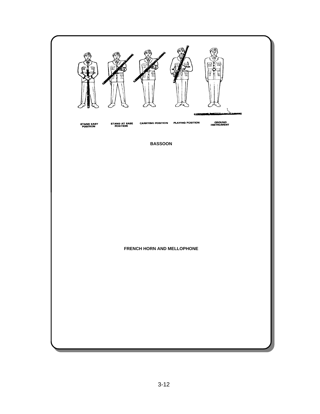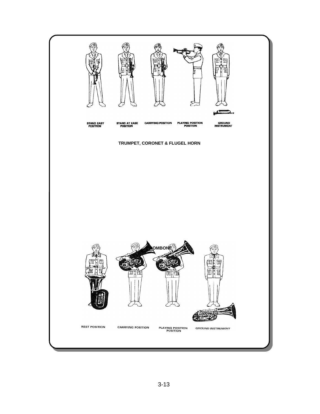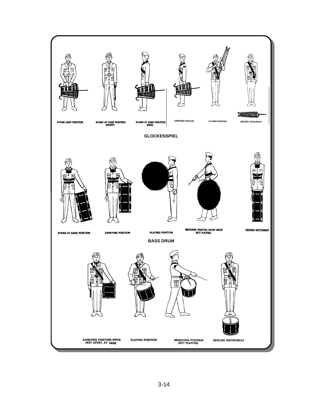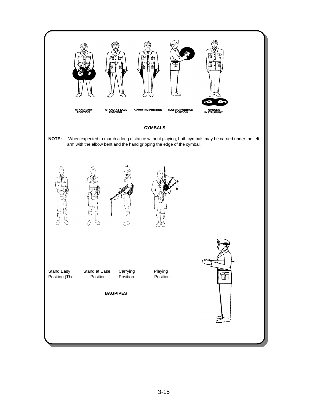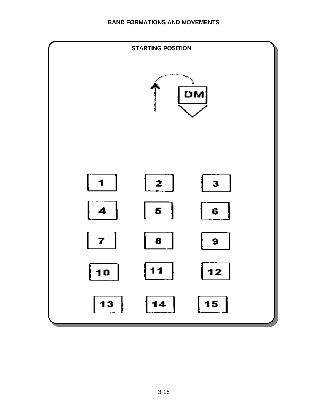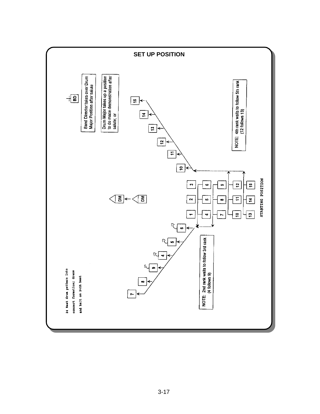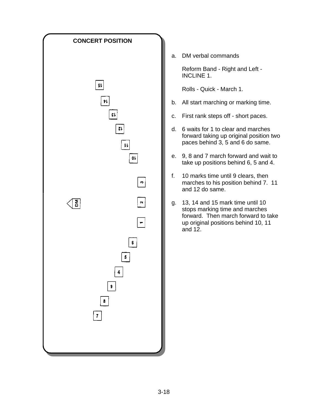

a. DM verbal commands

Reform Band - Right and Left - INCLINE 1.

Rolls - Quick - March 1.

- b. All start marching or marking time.
- c. First rank steps off short paces.
- d. 6 waits for 1 to clear and marches forward taking up original position two paces behind 3, 5 and 6 do same.
- e. 9, 8 and 7 march forward and wait to take up positions behind 6, 5 and 4.
- f. 10 marks time until 9 clears, then marches to his position behind 7. 11 and 12 do same.
- g. 13, 14 and 15 mark time until 10 stops marking time and marches forward. Then march forward to take up original positions behind 10, 11 and  $12$ .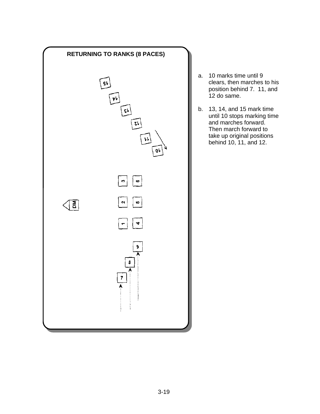

- a. 10 marks time until 9 clears, then marches to his position behind 7. 11, and 12 do same.
- b. 13, 14, and 15 mark time until 10 stops marking time and marches forward. Then march forward to take up original positions behind 10, 11, and 12.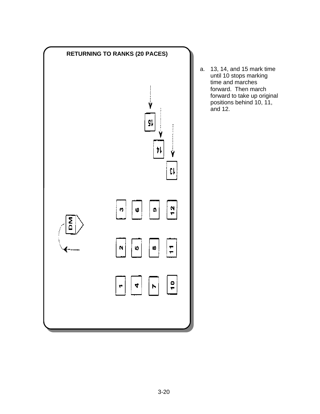

a. 13, 14, and 15 mark time until 10 stops marking time and marches forward. Then march forward to take up original positions behind 10, 11, and 12.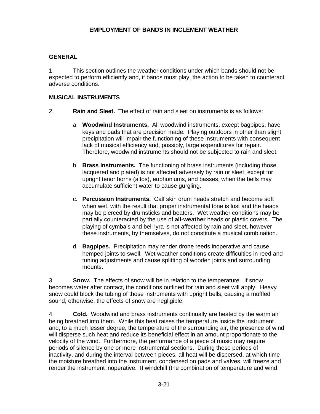#### **GENERAL**

1. This section outlines the weather conditions under which bands should not be expected to perform efficiently and, if bands must play, the action to be taken to counteract adverse conditions.

#### **MUSICAL INSTRUMENTS**

- 2. **Rain and Sleet.** The effect of rain and sleet on instruments is as follows:
	- a. **Woodwind Instruments.** All woodwind instruments, except bagpipes, have keys and pads that are precision made. Playing outdoors in other than slight precipitation will impair the functioning of these instruments with consequent lack of musical efficiency and, possibly, large expenditures for repair. Therefore, woodwind instruments should not be subjected to rain and sleet.
	- b. **Brass Instruments.** The functioning of brass instruments (including those lacquered and plated) is not affected adversely by rain or sleet, except for upright tenor horns (altos), euphoniums, and basses, when the bells may accumulate sufficient water to cause gurgling.
	- c. **Percussion Instruments.** Calf skin drum heads stretch and become soft when wet, with the result that proper instrumental tone is lost and the heads may be pierced by drumsticks and beaters. Wet weather conditions may be partially counteracted by the use of **all-weather** heads or plastic covers. The playing of cymbals and bell lyra is not affected by rain and sleet, however these instruments, by themselves, do not constitute a musical combination.
	- d. **Bagpipes.** Precipitation may render drone reeds inoperative and cause hemped joints to swell. Wet weather conditions create difficulties in reed and tuning adjustments and cause splitting of wooden joints and surrounding mounts.

3. **Snow.** The effects of snow will be in relation to the temperature. If snow becomes water after contact, the conditions outlined for rain and sleet will apply. Heavy snow could block the tubing of those instruments with upright bells, causing a muffled sound; otherwise, the effects of snow are negligible.

4. **Cold.** Woodwind and brass instruments continually are heated by the warm air being breathed into them. While this heat raises the temperature inside the instrument and, to a much lesser degree, the temperature of the surrounding air, the presence of wind will disperse such heat and reduce its beneficial effect in an amount proportionate to the velocity of the wind. Furthermore, the performance of a piece of music may require periods of silence by one or more instrumental sections. During these periods of inactivity, and during the interval between pieces, all heat will be dispersed, at which time the moisture breathed into the instrument, condensed on pads and valves, will freeze and render the instrument inoperative. If windchill (the combination of temperature and wind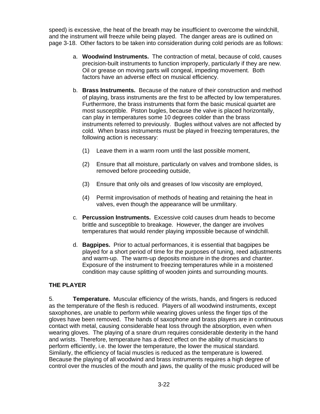speed) is excessive, the heat of the breath may be insufficient to overcome the windchill, and the instrument will freeze while being played. The danger areas are is outlined on page 3-18. Other factors to be taken into consideration during cold periods are as follows:

- a. **Woodwind Instruments.** The contraction of metal, because of cold, causes precision-built instruments to function improperly, particularly if they are new. Oil or grease on moving parts will congeal, impeding movement. Both factors have an adverse effect on musical efficiency.
- b. **Brass Instruments.** Because of the nature of their construction and method of playing, brass instruments are the first to be affected by low temperatures. Furthermore, the brass instruments that form the basic musical quartet are most susceptible. Piston bugles, because the valve is placed horizontally, can play in temperatures some 10 degrees colder than the brass instruments referred to previously. Bugles without valves are not affected by cold. When brass instruments must be played in freezing temperatures, the following action is necessary:
	- (1) Leave them in a warm room until the last possible moment,
	- (2) Ensure that all moisture, particularly on valves and trombone slides, is removed before proceeding outside,
	- (3) Ensure that only oils and greases of low viscosity are employed,
	- (4) Permit improvisation of methods of heating and retaining the heat in valves, even though the appearance will be unmilitary.
- c. **Percussion Instruments.** Excessive cold causes drum heads to become brittle and susceptible to breakage. However, the danger are involves temperatures that would render playing impossible because of windchill.
- d. **Bagpipes.** Prior to actual performances, it is essential that bagpipes be played for a short period of time for the purposes of tuning, reed adjustments and warm-up. The warm-up deposits moisture in the drones and chanter. Exposure of the instrument to freezing temperatures while in a moistened condition may cause splitting of wooden joints and surrounding mounts.

## **THE PLAYER**

5. **Temperature.** Muscular efficiency of the wrists, hands, and fingers is reduced as the temperature of the flesh is reduced. Players of all woodwind instruments, except saxophones, are unable to perform while wearing gloves unless the finger tips of the gloves have been removed. The hands of saxophone and brass players are in continuous contact with metal, causing considerable heat loss through the absorption, even when wearing gloves. The playing of a snare drum requires considerable dexterity in the hand and wrists. Therefore, temperature has a direct effect on the ability of musicians to perform efficiently, i.e. the lower the temperature, the lower the musical standard. Similarly, the efficiency of facial muscles is reduced as the temperature is lowered. Because the playing of all woodwind and brass instruments requires a high degree of control over the muscles of the mouth and jaws, the quality of the music produced will be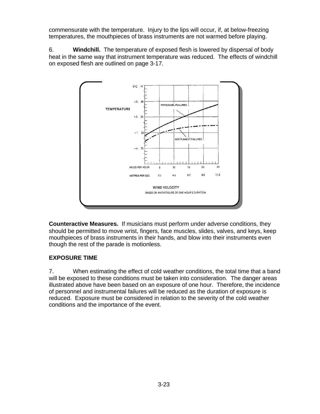commensurate with the temperature. Injury to the lips will occur, if, at below-freezing temperatures, the mouthpieces of brass instruments are not warmed before playing.

6. **Windchill.** The temperature of exposed flesh is lowered by dispersal of body heat in the same way that instrument temperature was reduced. The effects of windchill on exposed flesh are outlined on page 3-17.



**Counteractive Measures.** If musicians must perform under adverse conditions, they should be permitted to move wrist, fingers, face muscles, slides, valves, and keys, keep mouthpieces of brass instruments in their hands, and blow into their instruments even though the rest of the parade is motionless.

## **EXPOSURE TIME**

7. When estimating the effect of cold weather conditions, the total time that a band will be exposed to these conditions must be taken into consideration. The danger areas illustrated above have been based on an exposure of one hour. Therefore, the incidence of personnel and instrumental failures will be reduced as the duration of exposure is reduced. Exposure must be considered in relation to the severity of the cold weather conditions and the importance of the event.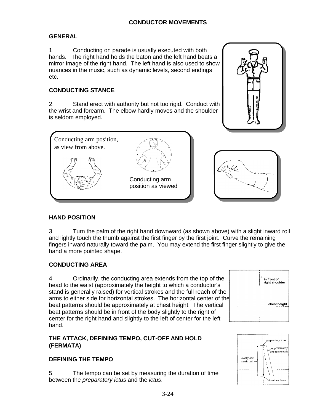# **GENERAL**

1. Conducting on parade is usually executed with both hands. The right hand holds the baton and the left hand beats a mirror image of the right hand. The left hand is also used to show nuances in the music, such as dynamic levels, second endings, etc.

# **CONDUCTING STANCE**

2. Stand erect with authority but not too rigid. Conduct with the wrist and forearm. The elbow hardly moves and the shoulder is seldom employed.







# **HAND POSITION**

3. Turn the palm of the right hand downward (as shown above) with a slight inward roll and lightly touch the thumb against the first finger by the first joint. Curve the remaining fingers inward naturally toward the palm. You may extend the first finger slightly to give the hand a more pointed shape.

# **CONDUCTING AREA**

4. Ordinarily, the conducting area extends from the top of the head to the waist (approximately the height to which a conductor's stand is generally raised) for vertical strokes and the full reach of the arms to either side for horizontal strokes. The horizontal center of the beat patterns should be approximately at chest height. The vertical beat patterns should be in front of the body slightly to the right of center for the right hand and slightly to the left of center for the left hand.

# **THE ATTACK, DEFINING TEMPO, CUT-OFF AND HOLD (FERMATA)**

# **DEFINING THE TEMPO**

5. The tempo can be set by measuring the duration of time between the *preparatory ictus* and the *ictus*.



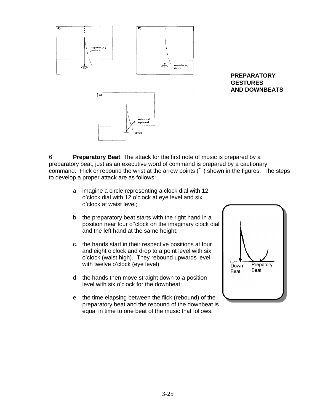

**PREPARATORY GESTURES AND DOWNBEATS**

6. **Preparatory Beat**: The attack for the first note of music is prepared by a preparatory beat, just as an executive word of command is prepared by a cautionary command. Flick or rebound the wrist at the arrow points  $(+)$  shown in the figures. The steps to develop a proper attack are as follows:

- a. imagine a circle representing a clock dial with 12 o'clock dial with 12 o'clock at eye level and six o'clock at waist level;
- b. the preparatory beat starts with the right hand in a position near four o''clock on the imaginary clock dial and the left hand at the same height;
- c. the hands start in their respective positions at four and eight o'clock and drop to a point level with six o'clock (waist high). They rebound upwards level with twelve o'clock (eye level);
- d. the hands then move straight down to a position level with six o'clock for the downbeat;
- e. the time elapsing between the flick (rebound) of the preparatory beat and the rebound of the downbeat is equal in time to one beat of the music that follows.

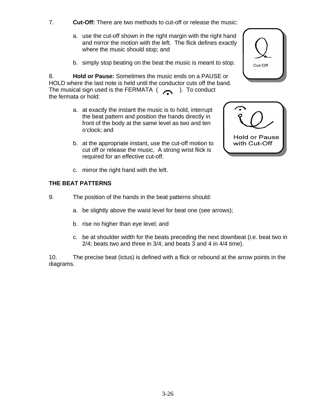- 7. **Cut-Off:** There are two methods to cut-off or release the music:
	- a. use the cut-off shown in the right margin with the right hand and mirror the motion with the left. The flick defines exactly where the music should stop; and
	- b. simply stop beating on the beat the music is meant to stop.

8. **Hold or Pause:** Sometimes the music ends on a PAUSE or HOLD where the last note is held until the conductor cuts off the band. The musical sign used is the FERMATA  $($ the fermata or hold:

- a. at exactly the instant the music is to hold, interrupt the beat pattern and position the hands directly in front of the body at the same level as two and ten o'clock; and
- b. at the appropriate instant, use the cut-off motion to cut off or release the music. A strong wrist flick is required for an effective cut-off.
- c. mirror the right hand with the left.

#### **THE BEAT PATTERNS**

- 9. The position of the hands in the beat patterns should:
	- a. be slightly above the waist level for beat one (see arrows);
	- b. rise no higher than eye level; and
	- c. be at shoulder width for the beats preceding the next downbeat (i.e. beat two in 2/4; beats two and three in 3/4; and beats 3 and 4 in 4/4 time).

10. The precise beat (ictus) is defined with a flick or rebound at the arrow points in the diagrams.



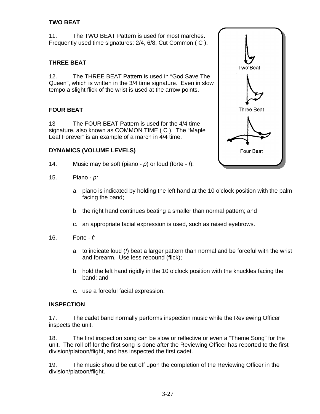## **TWO BEAT**

11. The TWO BEAT Pattern is used for most marches. Frequently used time signatures: 2/4, 6/8, Cut Common ( C ).

# **THREE BEAT**

12. The THREE BEAT Pattern is used in "God Save The Queen", which is written in the 3/4 time signature. Even in slow tempo a slight flick of the wrist is used at the arrow points.

# **FOUR BEAT**

13 The FOUR BEAT Pattern is used for the 4/4 time signature, also known as COMMON TIME ( C ). The "Maple Leaf Forever" is an example of a march in 4/4 time.

#### **DYNAMICS (VOLUME LEVELS)**

- 14. Music may be soft (piano - *p*) or loud (forte - *f*):
- 15. Piano - *p:*
	- a. piano is indicated by holding the left hand at the 10 o'clock position with the palm facing the band;
	- b. the right hand continues beating a smaller than normal pattern; and
	- c. an appropriate facial expression is used, such as raised eyebrows.
- 16. Forte *f:*
	- a. to indicate loud (*f*) beat a larger pattern than normal and be forceful with the wrist and forearm. Use less rebound (flick);
	- b. hold the left hand rigidly in the 10 o'clock position with the knuckles facing the band; and
	- c. use a forceful facial expression.

#### **INSPECTION**

17. The cadet band normally performs inspection music while the Reviewing Officer inspects the unit.

18. The first inspection song can be slow or reflective or even a "Theme Song" for the unit. The roll off for the first song is done after the Reviewing Officer has reported to the first division/platoon/flight, and has inspected the first cadet.

19. The music should be cut off upon the completion of the Reviewing Officer in the division/platoon/flight.

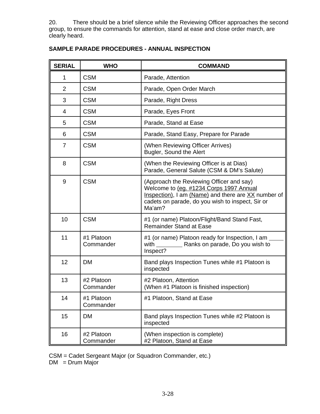20. There should be a brief silence while the Reviewing Officer approaches the second group, to ensure the commands for attention, stand at ease and close order march, are clearly heard.

| <b>SERIAL</b>  | <b>WHO</b>              | <b>COMMAND</b>                                                                                                                                                                                           |  |  |  |  |
|----------------|-------------------------|----------------------------------------------------------------------------------------------------------------------------------------------------------------------------------------------------------|--|--|--|--|
| $\mathbf{1}$   | <b>CSM</b>              | Parade, Attention                                                                                                                                                                                        |  |  |  |  |
| $\overline{2}$ | <b>CSM</b>              | Parade, Open Order March                                                                                                                                                                                 |  |  |  |  |
| 3              | <b>CSM</b>              | Parade, Right Dress                                                                                                                                                                                      |  |  |  |  |
| 4              | <b>CSM</b>              | Parade, Eyes Front                                                                                                                                                                                       |  |  |  |  |
| 5              | <b>CSM</b>              | Parade, Stand at Ease                                                                                                                                                                                    |  |  |  |  |
| 6              | <b>CSM</b>              | Parade, Stand Easy, Prepare for Parade                                                                                                                                                                   |  |  |  |  |
| $\overline{7}$ | <b>CSM</b>              | (When Reviewing Officer Arrives)<br>Bugler, Sound the Alert                                                                                                                                              |  |  |  |  |
| 8              | <b>CSM</b>              | (When the Reviewing Officer is at Dias)<br>Parade, General Salute (CSM & DM's Salute)                                                                                                                    |  |  |  |  |
| 9              | <b>CSM</b>              | (Approach the Reviewing Officer and say)<br>Welcome to (eq. #1234 Corps 1997 Annual<br>Inspection), I am (Name) and there are XX number of<br>cadets on parade, do you wish to inspect, Sir or<br>Ma'am? |  |  |  |  |
| 10             | <b>CSM</b>              | #1 (or name) Platoon/Flight/Band Stand Fast,<br><b>Remainder Stand at Ease</b>                                                                                                                           |  |  |  |  |
| 11             | #1 Platoon<br>Commander | #1 (or name) Platoon ready for Inspection, I am<br>Inspect?                                                                                                                                              |  |  |  |  |
| 12             | <b>DM</b>               | Band plays Inspection Tunes while #1 Platoon is<br>inspected                                                                                                                                             |  |  |  |  |
| 13             | #2 Platoon<br>Commander | #2 Platoon, Attention<br>(When #1 Platoon is finished inspection)                                                                                                                                        |  |  |  |  |
| 14             | #1 Platoon<br>Commander | #1 Platoon, Stand at Ease                                                                                                                                                                                |  |  |  |  |
| 15             | DM                      | Band plays Inspection Tunes while #2 Platoon is<br>inspected                                                                                                                                             |  |  |  |  |
| 16             | #2 Platoon<br>Commander | (When inspection is complete)<br>#2 Platoon, Stand at Ease                                                                                                                                               |  |  |  |  |

# **SAMPLE PARADE PROCEDURES - ANNUAL INSPECTION**

CSM = Cadet Sergeant Major (or Squadron Commander, etc.)

 $DM = Drum Major$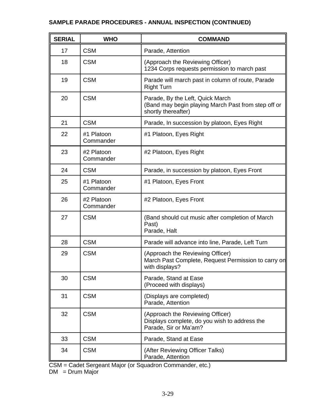# **SAMPLE PARADE PROCEDURES - ANNUAL INSPECTION (CONTINUED)**

| <b>SERIAL</b> | <b>WHO</b>              | <b>COMMAND</b>                                                                                                 |  |  |  |
|---------------|-------------------------|----------------------------------------------------------------------------------------------------------------|--|--|--|
| 17            | <b>CSM</b>              | Parade, Attention                                                                                              |  |  |  |
| 18            | <b>CSM</b>              | (Approach the Reviewing Officer)<br>1234 Corps requests permission to march past                               |  |  |  |
| 19            | <b>CSM</b>              | Parade will march past in column of route, Parade<br><b>Right Turn</b>                                         |  |  |  |
| 20            | <b>CSM</b>              | Parade, By the Left, Quick March<br>(Band may begin playing March Past from step off or<br>shortly thereafter) |  |  |  |
| 21            | <b>CSM</b>              | Parade, In succession by platoon, Eyes Right                                                                   |  |  |  |
| 22            | #1 Platoon<br>Commander | #1 Platoon, Eyes Right                                                                                         |  |  |  |
| 23            | #2 Platoon<br>Commander | #2 Platoon, Eyes Right                                                                                         |  |  |  |
| 24            | <b>CSM</b>              | Parade, in succession by platoon, Eyes Front                                                                   |  |  |  |
| 25            | #1 Platoon<br>Commander | #1 Platoon, Eyes Front                                                                                         |  |  |  |
| 26            | #2 Platoon<br>Commander | #2 Platoon, Eyes Front                                                                                         |  |  |  |
| 27            | <b>CSM</b>              | (Band should cut music after completion of March<br>Past)<br>Parade, Halt                                      |  |  |  |
| 28            | <b>CSM</b>              | Parade will advance into line, Parade, Left Turn                                                               |  |  |  |
| 29            | <b>CSM</b>              | (Approach the Reviewing Officer)<br>March Past Complete, Request Permission to carry on<br>with displays?      |  |  |  |
| 30            | <b>CSM</b>              | Parade, Stand at Ease<br>(Proceed with displays)                                                               |  |  |  |
| 31            | <b>CSM</b>              | (Displays are completed)<br>Parade, Attention                                                                  |  |  |  |
| 32            | <b>CSM</b>              | (Approach the Reviewing Officer)<br>Displays complete, do you wish to address the<br>Parade, Sir or Ma'am?     |  |  |  |
| 33            | <b>CSM</b>              | Parade, Stand at Ease                                                                                          |  |  |  |
| 34            | <b>CSM</b>              | (After Reviewing Officer Talks)<br>Parade, Attention                                                           |  |  |  |

CSM = Cadet Sergeant Major (or Squadron Commander, etc.)

DM = Drum Major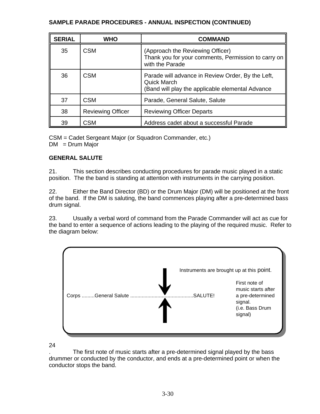## **SAMPLE PARADE PROCEDURES - ANNUAL INSPECTION (CONTINUED)**

| <b>SERIAL</b> | <b>WHO</b>               | <b>COMMAND</b>                                                                                                      |  |  |  |  |
|---------------|--------------------------|---------------------------------------------------------------------------------------------------------------------|--|--|--|--|
| 35            | <b>CSM</b>               | (Approach the Reviewing Officer)<br>Thank you for your comments, Permission to carry on<br>with the Parade          |  |  |  |  |
| 36            | <b>CSM</b>               | Parade will advance in Review Order, By the Left,<br>Quick March<br>Band will play the applicable elemental Advance |  |  |  |  |
| 37            | <b>CSM</b>               | Parade, General Salute, Salute                                                                                      |  |  |  |  |
| 38            | <b>Reviewing Officer</b> | <b>Reviewing Officer Departs</b>                                                                                    |  |  |  |  |
| 39            | <b>CSM</b>               | Address cadet about a successful Parade                                                                             |  |  |  |  |

CSM = Cadet Sergeant Major (or Squadron Commander, etc.)  $DM = Drum Major$ 

## **GENERAL SALUTE**

21. This section describes conducting procedures for parade music played in a static position. The the band is standing at attention with instruments in the carrying position.

22. Either the Band Director (BD) or the Drum Major (DM) will be positioned at the front of the band. If the DM is saluting, the band commences playing after a pre-determined bass drum signal.

23. Usually a verbal word of command from the Parade Commander will act as cue for the band to enter a sequence of actions leading to the playing of the required music. Refer to the diagram below:



24

. The first note of music starts after a pre-determined signal played by the bass drummer or conducted by the conductor, and ends at a pre-determined point or when the conductor stops the band.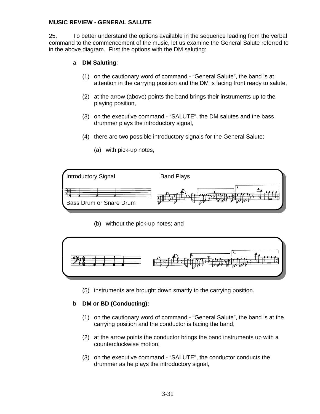#### **MUSIC REVIEW - GENERAL SALUTE**

25. To better understand the options available in the sequence leading from the verbal command to the commencement of the music, let us examine the General Salute referred to in the above diagram. First the options with the DM saluting:

#### a. **DM Saluting**:

- (1) on the cautionary word of command "General Salute", the band is at attention in the carrying position and the DM is facing front ready to salute,
- (2) at the arrow (above) points the band brings their instruments up to the playing position,
- (3) on the executive command "SALUTE", the DM salutes and the bass drummer plays the introductory signal,
- (4) there are two possible introductory signals for the General Salute:
- Introductory Signal Band Plays Bass Drum or Snare Drum
- (a) with pick-up notes,

(b) without the pick-up notes; and



(5) instruments are brought down smartly to the carrying position.

#### b. **DM or BD (Conducting):**

- (1) on the cautionary word of command "General Salute", the band is at the carrying position and the conductor is facing the band,
- (2) at the arrow points the conductor brings the band instruments up with a counterclockwise motion,
- (3) on the executive command "SALUTE", the conductor conducts the drummer as he plays the introductory signal,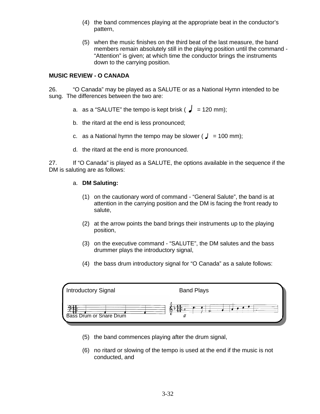- (4) the band commences playing at the appropriate beat in the conductor's pattern,
- (5) when the music finishes on the third beat of the last measure, the band members remain absolutely still in the playing position until the command - "Attention" is given; at which time the conductor brings the instruments down to the carrying position.

### **MUSIC REVIEW - O CANADA**

26. "O Canada" may be played as a SALUTE or as a National Hymn intended to be sung. The differences between the two are:

- a. as a "SALUTE" the tempo is kept brisk ( $\sqrt{ }$  = 120 mm):
- b. the ritard at the end is less pronounced;
- c. as a National hymn the tempo may be slower ( $J = 100$  mm);
- d. the ritard at the end is more pronounced.

27. If "O Canada" is played as a SALUTE, the options available in the sequence if the DM is saluting are as follows:

#### a. **DM Saluting:**

- (1) on the cautionary word of command "General Salute", the band is at attention in the carrying position and the DM is facing the front ready to salute,
- (2) at the arrow points the band brings their instruments up to the playing position,
- (3) on the executive command "SALUTE", the DM salutes and the bass drummer plays the introductory signal,
- (4) the bass drum introductory signal for "O Canada" as a salute follows:



- (5) the band commences playing after the drum signal,
- (6) no ritard or slowing of the tempo is used at the end if the music is not conducted, and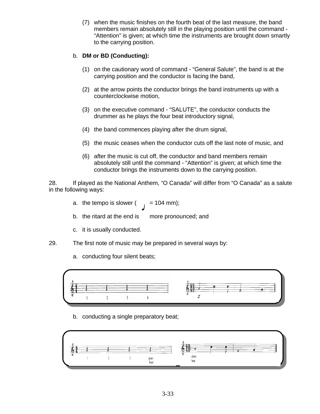(7) when the music finishes on the fourth beat of the last measure, the band members remain absolutely still in the playing position until the command - "Attention" is given; at which time the instruments are brought down smartly to the carrying position.

### b. **DM or BD (Conducting):**

- (1) on the cautionary word of command "General Salute", the band is at the carrying position and the conductor is facing the band,
- (2) at the arrow points the conductor brings the band instruments up with a counterclockwise motion,
- (3) on the executive command "SALUTE", the conductor conducts the drummer as he plays the four beat introductory signal,
- (4) the band commences playing after the drum signal,
- (5) the music ceases when the conductor cuts off the last note of music, and
- (6) after the music is cut off, the conductor and band members remain absolutely still until the command - "Attention" is given; at which time the conductor brings the instruments down to the carrying position.

28. If played as the National Anthem, "O Canada" will differ from "O Canada" as a salute in the following ways:

- a. the tempo is slower  $($ , = 104 mm);
- b. the ritard at the end is more pronounced; and
- c. it is usually conducted.
- 29. The first note of music may be prepared in several ways by:
	- a. conducting four silent beats;



b. conducting a single preparatory beat;

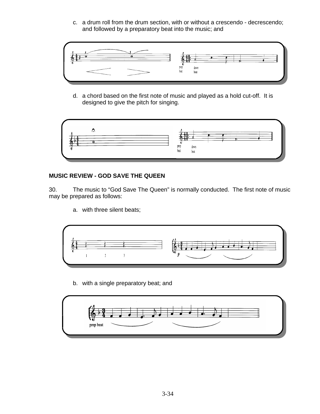c. a drum roll from the drum section, with or without a crescendo - decrescendo; and followed by a preparatory beat into the music; and



d. a chord based on the first note of music and played as a hold cut-off. It is designed to give the pitch for singing.



# **MUSIC REVIEW - GOD SAVE THE QUEEN**

30. The music to "God Save The Queen" is normally conducted. The first note of music may be prepared as follows:

a. with three silent beats;



b. with a single preparatory beat; and

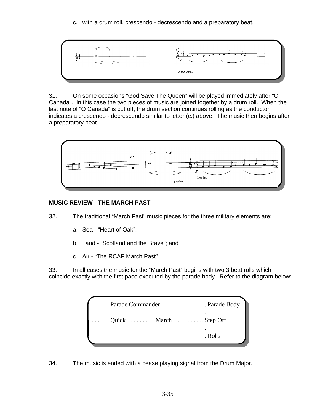c. with a drum roll, crescendo - decrescendo and a preparatory beat.



31. On some occasions "God Save The Queen" will be played immediately after "O Canada". In this case the two pieces of music are joined together by a drum roll. When the last note of "O Canada" is cut off, the drum section continues rolling as the conductor indicates a crescendo - decrescendo similar to letter (c.) above. The music then begins after a preparatory beat.



# **MUSIC REVIEW - THE MARCH PAST**

- 32. The traditional "March Past" music pieces for the three military elements are:
	- a. Sea "Heart of Oak";
	- b. Land "Scotland and the Brave"; and
	- c. Air "The RCAF March Past".

33. In all cases the music for the "March Past" begins with two 3 beat rolls which coincide exactly with the first pace executed by the parade body. Refer to the diagram below:

| Quick MarchStep Off<br>. Rolls | Parade Commander | . Parade Body |
|--------------------------------|------------------|---------------|
|                                |                  |               |
|                                |                  |               |

34. The music is ended with a cease playing signal from the Drum Major.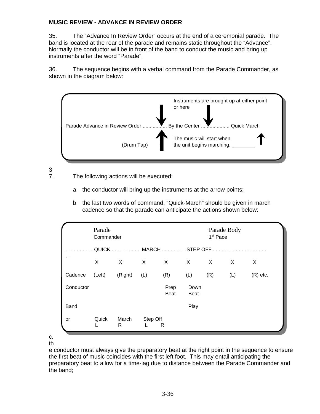#### **MUSIC REVIEW - ADVANCE IN REVIEW ORDER**

35. The "Advance In Review Order" occurs at the end of a ceremonial parade. The band is located at the rear of the parade and remains static throughout the "Advance". Normally the conductor will be in front of the band to conduct the music and bring up instruments after the word "Parade".

36. The sequence begins with a verbal command from the Parade Commander, as shown in the diagram below:



 $\frac{3}{7}$ 

- The following actions will be executed:
	- a. the conductor will bring up the instruments at the arrow points;
	- b. the last two words of command, "Quick-March" should be given in march cadence so that the parade can anticipate the actions shown below:

|                      | Parade<br>Commander |              |               |                        | Parade Body<br>1 <sup>st</sup> Pace |          |     |            |  |
|----------------------|---------------------|--------------|---------------|------------------------|-------------------------------------|----------|-----|------------|--|
|                      |                     |              |               | . QUICK MARCH STEP OFF |                                     |          |     |            |  |
| $\ddot{\phantom{0}}$ | X                   | $\mathsf{X}$ | $\times$      | X                      | $\mathsf{X}$                        | $\times$ | X   | X          |  |
| Cadence              | (Left)              | (Right)      | (L)           | (R)                    | (L)                                 | (R)      | (L) | $(R)$ etc. |  |
| Conductor            |                     |              |               | Prep<br><b>Beat</b>    | Down<br><b>Beat</b>                 |          |     |            |  |
| Band                 |                     |              |               |                        | Play                                |          |     |            |  |
| or                   | Quick               | March<br>R   | Step Off<br>L | R                      |                                     |          |     |            |  |

c. th

e conductor must always give the preparatory beat at the right point in the sequence to ensure the first beat of music coincides with the first left foot. This may entail anticipating the preparatory beat to allow for a time-lag due to distance between the Parade Commander and the band;